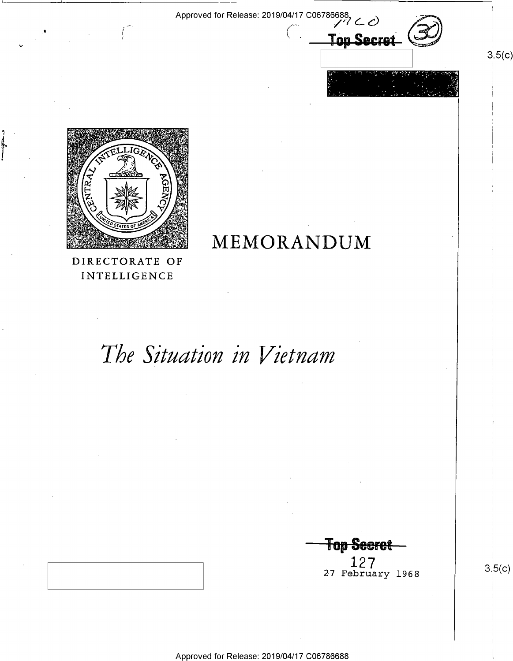MEMORANDUM

 $\mathcal{N}$  is a set of the set of the set of the set of the set of the set of the set of the set of the set of the set of the set of the set of the set of the set of the set of the set of the set of the set of the set of th

Approved for Release: 2019/04/17 C06786688<br>
And the set of the set of the set of the set of the set of the set of the set of the set of the set of the se  $\overline{\ }$  Ion Secret ~>'"'I-r::'\"""-/  $\mathbb{P}_\mathbb{P}$  . A "' $\mathbb{P}_\mathbb{P}$  of  $\mathbb{P}_\mathbb{P}$  and  $\mathbb{P}_\mathbb{P}$  are the second respectively.

 $\sim$  ,  $\sim$  ,  $\sim$  .  $\sim$  10  $\sim$  0.20  $\sim$  1.  $\sim$   $\sim$  .  $\sim$   $\sim$   $\sim$   $\sim$   $\sim$ 

 $\gamma=1$  .

~-.'>,1@<"»::;1<~;~1=-\_=§g¢\*'A<'~ ""' -'  $x \rightarrow 0$  .  $\frac{1}{2}$ P31" \$.19 ¢x=J~L1G@ fifi 95' X? "¥- 5'>'~§§  $i'$   $i'$   $j'$   $j'$   $k''$ .t xie zw  $\frac{1}{\sqrt{2}} \left( \frac{1}{\sqrt{2}} \frac{1}{\sqrt{2}} \frac{1}{\sqrt{2}} \frac{1}{\sqrt{2}} \frac{1}{\sqrt{2}} \frac{1}{\sqrt{2}} \frac{1}{\sqrt{2}} \frac{1}{\sqrt{2}} \frac{1}{\sqrt{2}} \frac{1}{\sqrt{2}} \frac{1}{\sqrt{2}} \frac{1}{\sqrt{2}} \frac{1}{\sqrt{2}} \frac{1}{\sqrt{2}} \frac{1}{\sqrt{2}} \frac{1}{\sqrt{2}} \frac{1}{\sqrt{2}} \frac{1}{\sqrt{2}} \frac{1}{\sqrt{2}} \frac{1}{\sqrt{2}} \frac{1}{\sqrt$ THEO STATES OF AMERICA gebruare 19  $\mathcal{N}$  3  $\mathcal{N}$  3  $\mathcal{N}$ ., s. Salaway at Mars '  $\mathcal{L}$  . In the set of  $\mathcal{L}$  and  $\mathcal{L}$ 'e' §%»@%% **Extrage**  $\mathcal{L}$  $\mathbf r$  $\;$ gr  $\cdots$ 

'?'-

~

DIRECTORATE OF INTELLIGENCE

# The Situation in Vietnam

**Top Secret** 

 $\begin{array}{c|c} 127 & 1968 \end{array}$  3.5(c)

 $3.5(c)$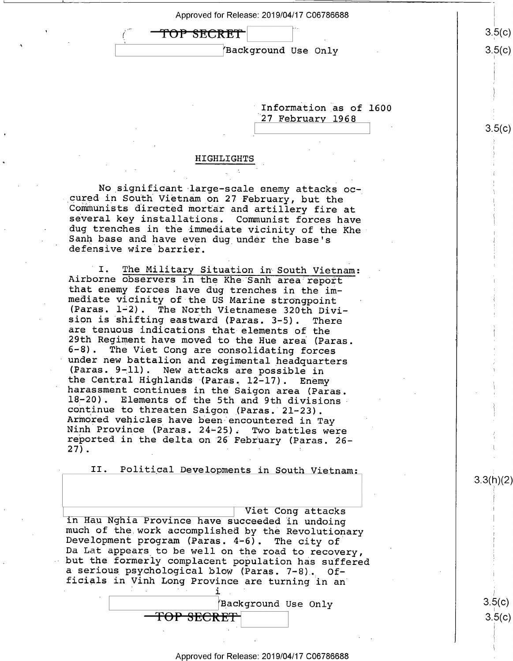| Approved for Release: 2019/04/17 C06786688 |        |
|--------------------------------------------|--------|
| TOP SECRET                                 | 3.5(c) |
| Background Use Only                        | 3.5(c) |
|                                            |        |

Information as of 1600 '27 Februarv <sup>1968</sup>

### HIGHLIGHTS

No significant large-scale enemy attacks oc-<br>cured in South Vietnam on 27 February, but the Communists directed mortar and artillery fire at several key installations. Communist forces have dug trenches in the immediate vicinity of the Khe Sanh base and have even dug under the base's defensive wire barrier.

I. The Military Situation in South Vietnam:<br>Airborne observers in the Khe Sanh area report that enemy forces have dug trenches in the im-<br>mediate vicinity of the US Marine strongpoint<br>(Paras. 1-2). The North Vietnamese 320th Divi-<br>sion is shifting eastward (Paras. 3-5). There sion is shifting eastward (Paras. 3-5). There<br>are tenuous indications that elements of the<br>29th Regiment have moved to the Hue area (Paras.<br>6-8). The Viet Cong are consolidating forces<br>under new battalion and regimental he 27).  $\blacksquare$ 

II. Political Developments in South Vietnam:

Viet Cong attacks<br>in Hau Nghia Province have succeeded in undoing<br>much of the work accomplished by the Revolutionary<br>Development program (Paras. 4-6). The city of<br>Da Lat appears to be well on the road to recovery,<br>but the

. , . 1 \_

<del>TOP SECRET</del>

\ (Background Use Only

 $3.5(c$ 3.5(C)

3.3(h)(2)

 $3.5(c)$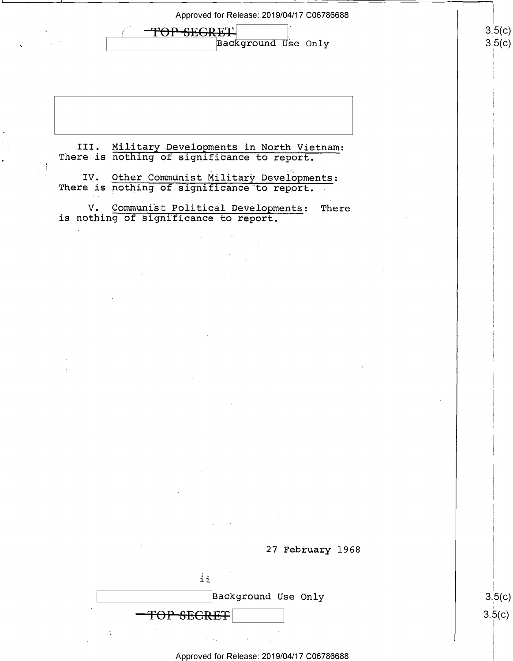Approved for Release: 2019/04/17 C06786688

TOP SEGRET  $\overline{\phantom{0}}$ Background Use Only

III. Military Developments in North Vietnam: There is nothing of significance to report.

IV. Other Communist Military Developments: There is nothing of significance to report.

V. Qommunist Political Developments: There is nothing of significance to report.

 $\lambda_{\rm{eff}}$ 



| Background Use Only |
|---------------------|
| TOP SECRET          |
|                     |

 $3.5(c)$ <u>၁.၁</u>(C)

#### Approved for Release: 2019/04/17 C06786688

3.5(  $\sim$  $\overline{\phantom{0}}$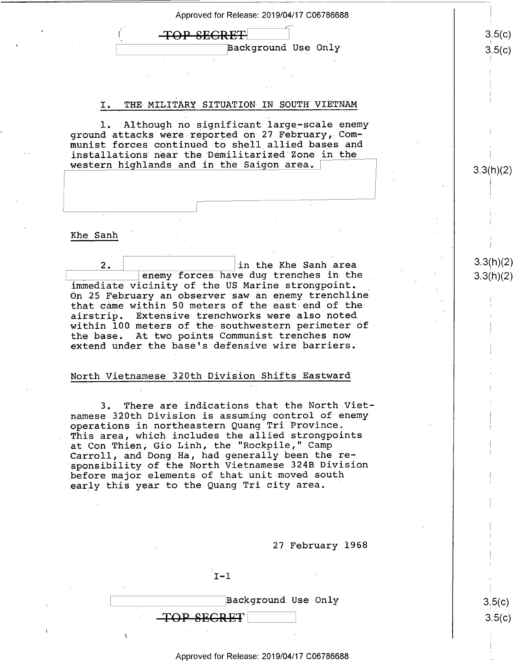Approved for Release: 2019/04/17 C06786688

 $\begin{array}{ccc} \textbf{TOP} & \textbf{SECRET} \end{array}$  (3.5(c)

## I. THE MILITARY SITUATION IN SOUTH VIETNAM

1. Although no significant large-scale enemy ground attacks were reported on 27 February, Communist forces continued to shell allied bases and installations near the Demilitarized Zone in the western highlands and in the Saigon area.  $\lceil$ 

#### Khe Sanh '

2.  $\vert$  in the Khe Sanh area 33. 33(1) in the Sanh area 33(1) in the 33(1) in the immediate vicinity of the US Marine strongpoint. On 25 February an observer saw an enemy trenchline that came within 50 meters of the east-end of theairstrip. Extensive trenchworks were also noted. within 100 meters of the southwestern perimeter of the base; At two points Communist trenches now extend under the base's defensive wire barriers.

### North Vietnamese 320th Division Shifts Eastward

3. There are indications that the North Viet namese 320th Division is assuming control of enemy operations in northeastern Quang Tri Province. This area, which includes the allied strongpoints at Con Thien; Gio Linh, the "Rockpile," Camp \ Carroll, and Dong Ha, had generally been the re sponsibility of the North Vietnamese 324B Division before major elements of that unit moved south early this year to the Quang Tri city area.

27 February 1968

 $1-1$  and  $1-1$  and  $1-1$  and  $1-1$  and  $1-1$ 

 $\beta$ Background Use Only  $\begin{array}{|l|} \hline 3.5(c) \hline \end{array}$ TOP SEGRET

Approved for Release: 2019/04/17 C06786688 \_>

 $3.3(h)(2)$ 

 $\sqrt{2}$  $\sqrt{2}$ 

 $3.5(c)$ 

 $\mathtt{Background}$  Use Only  $\mathtt{3.5(c)}$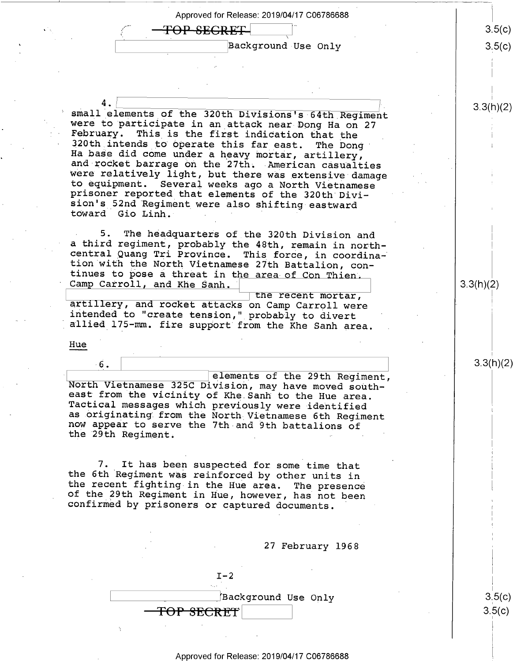Approved for Release: 2019/04/17 C06786688  $3.5(c)$ <del>TOP SECRET</del> Background Use Only  $3.5(c)$ 3.3(h)(2) small elements of the 320th Divisions's 64th Regiment were to participate in an attack near Dong Ha on 27<br>February. This is the first indication that the<br>320th intends to operate this far east. The Dong<br>Ha base did come under a heavy mortar, artillery,<br>and rocket barrage on t 5. The headquarters of the 320th Division and<br>a third regiment, probably the 48th, remain in north-<br>central Quang Tri Province. This force, in coordina-<br>tion with the North Vietnamese 27th Battalion, con-<br>tinues to pose a  $3.3(h)(2)$ artillery, and rocket attacks on Camp Carroll were intended to "create tension," probably to divert<br>allied 175–mm. fire support from the Khe Sanh area.

Hue

North Vietnamese 325C Division, may have moved south-<br>east from the vicinity of Khe Sanh to the Hue area.<br>Tactical messages which previously were identified<br>as originating from the North Vietnamese 6th Regiment<br>now appear elements of the 29th Regiment,

 $\overline{\phantom{a}}$ 

7. It has been suspected for some time that<br>the 6th Regiment was reinforced by other units in<br>the recent fighting in the Hue area. The presence<br>of the 29th Regiment in Hue, however, has not been<br>confirmed by prisoners or c

27 February 1968

3.3(h)(2)

 $3.5(c)$ <u>၁၂၁</u>(C)

 $I-2$ \ YBackground Use Only <del>TOP SECRET</del>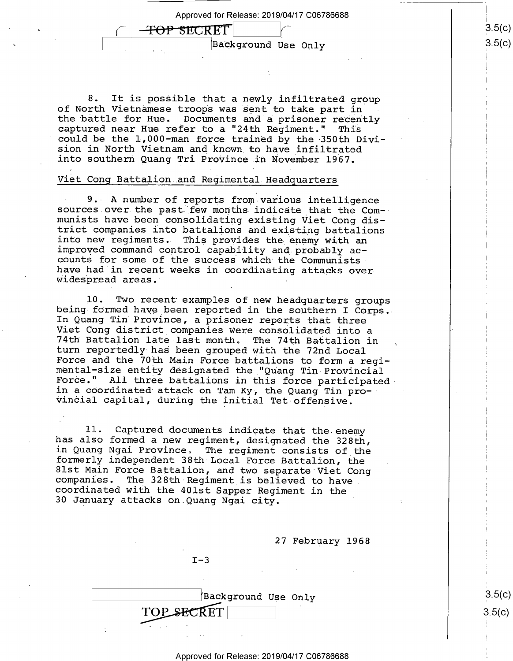Approved for Release: 2019/04/17 C06786688

\ is iBackground Use Only

8. It is possible that a newly infiltrated group of North Vietnamese troops was sent to take part in . the battle for Hue. Documents and a prisoner recently captured near Hue refer to a "24th Regiment." This could be the 1,000-man force trained by the 350th Divi-<br>sion in North Vietnam and known to have infiltrated into southern Quang Tri Province in November 1967.

#### Viet Cong Battalion and Regimental.Headquarters

<del>-TOP SEC</del>RET

~

few months indica into new regiments. This provides the enemy with an<br>improved command control capability and probably ac-<br>counts for some of the success which the Communists  $\circ$ r 9. A number of reports from various intelligence<br>sources over the past few months indicate that the Com-<br>munists have been consolidating existing Viet Cong dis-<br>trict companies into battalions and existing battalions<br>into counts for some of the success which the Communists<br>have had in recent weeks in coordinating attacks over<br>widespread areas.

l0. Two recent examples of new headquarters groups being formed have been reported in the southern I Corps. In Quang Tin Province, a prisoner reports that three Viet Cong district companies were consolidated into <sup>a</sup> mental-size entity designated the "Quang Tin Provincial<br>Force." All three battalions in this force participated turn reportedly has been grouped with the 72nd Local<br>Force and the 70th Main Force battalions to form a regi-<br>mental-size entity designated the "Quang Tin Provincial<br>Force." All three battalions in this force participated<br> vincial capital, during the initial Tet-offensive.

11. Captured documents indicate that the enemy<br>has also formed a new regiment, designated the 328th,<br>in Quang Ngai Province. The regiment consists of the<br>formerly independent 38th Local Force Battalion, the<br>81st Main Force 30 January attacks on.Quang Ngai city,

27 February 1968

 $I-3$ 

|            | Background Use Only |  |
|------------|---------------------|--|
| TOP SECRET |                     |  |
|            |                     |  |

 $3.5(c)$  $3.5(c)$ 

E 7 TH TO THE RESEARCH SERVICE SERVICE SERVICE SERVICE SERVICE SERVICE SERVICE SERVICE SERVICE SERVICE SERVICE

1 l

#### Approved for Release: 2019/04/17 C06786688

 $(3.5)$ (C) ၁(C)

 $\mathfrak i$ 

i?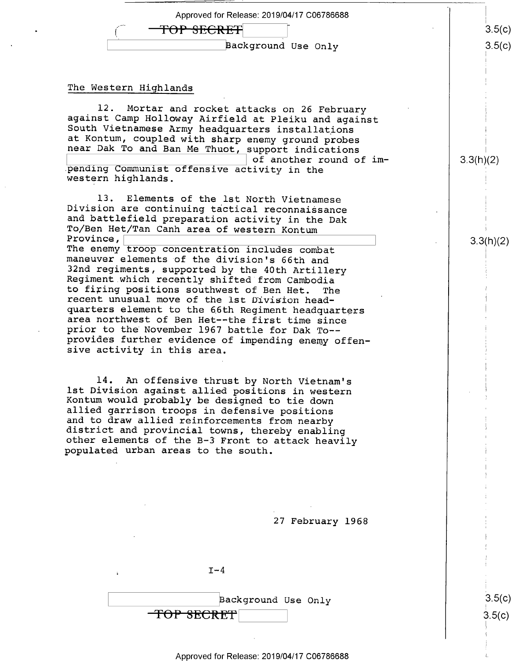| Approved for Release: 2019/04/17 C06786688 |        |
|--------------------------------------------|--------|
| TOP SECRET                                 | 3.5(c) |
| Background Use Only                        | 3.5(c) |
|                                            |        |

#### The Western Highlands

12. Mortar and rocket attacks on 26 February<br>against Camp Holloway Airfield at Pleiku and against<br>South Vietnamese Army headquarters installations<br>at Kontum, coupled with sharp enemy ground probes<br>near Dak To and Ban Me Th bending Communist offensive activity in the western highlands.

13. Elements of the lst North Vietnamese<br>Division are continuing tactical reconnaissance<br>and battlefield preparation activity in the Dak<br>To/Ben Het/Tan Canh area of western Kontum<br>Province,<br>The enemy troop concentration in

maneuver elements of the division's 66th and<br>32nd regiments, supported by the 40th Artillery<br>Regiment which recently shifted from Cambodia<br>to firing positions southwest of Ben Het. The<br>recent unusual move of the 1st Divisi provides further evidence of impending enemy offen- sive activity in this area.

14. An offensive thrust by North Vietnam's<br>1st Division against allied positions in western<br>Kontum would probably be designed to tie down<br>allied garrison troops in defensive positions<br>and to draw allied reinforcements from

27 February 1968

 $I-4$ 

\ background Use Only <del>TOP SECRET</del>

3.5(C)  $5(c)$ 

L

 $3.3(h)(2)$ 

3.3(N)(Z)

#### Approved for Release: 2019/04/17 C06786688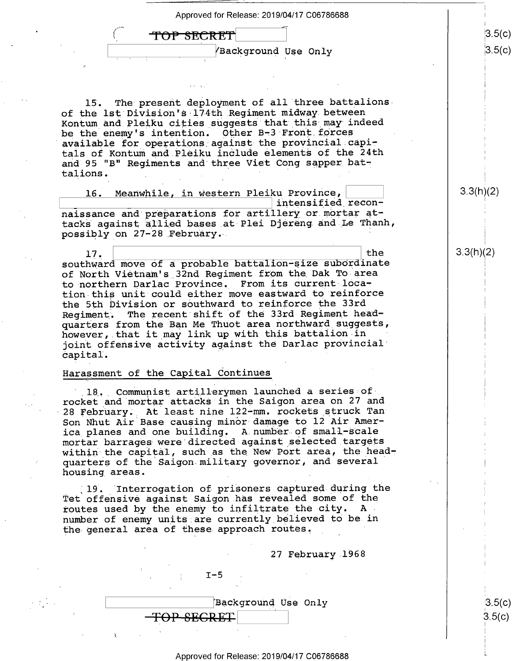

Approved for Release: 2019/04/17 C06786688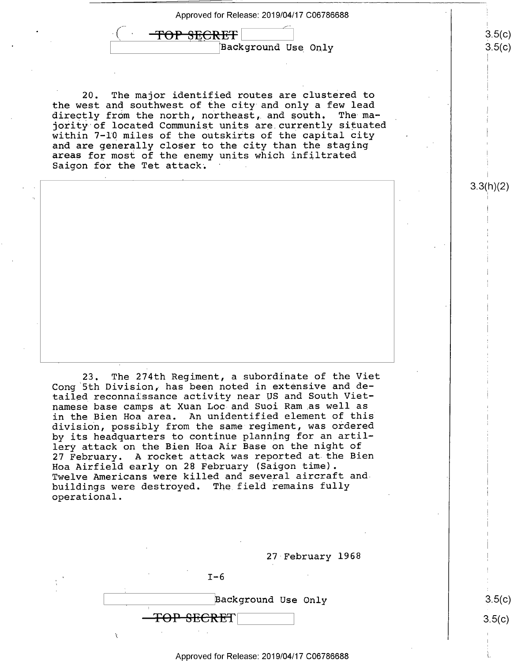Approved for Release: 2019/04/17 C06786688 <sup>A</sup>

<del>FOP SECRET</del>  $\left| \text{Background Use Only} \right|$ 

20. The major identified routes are clustered to the west and southwest of the city and only a few lead directly from the north, northeast, and south. The majority of located Communist units are currently situated within 7-10 miles of the outskirts of the capital city and are generally closer to the city than the staging areas for most of the enemy units which infiltrated Saigon for the Tet attack.

 $23.$ The 274th Regiment, a subordinate of the Viet Cong 5th Division, has been noted in extensive and de- <sup>7</sup> tailed reconnaissance activity near US and South Vietnamese base camps at Xuan Loc-and Suoi Ram.as well as <sup>i</sup> in the Bien Hoa area. An unidentified element of this division, possibly from the same regiment, was ordered ' by its headquarters to continue planning for an artillery attack on the Bien Hoa Air Base on the night of 27 February. A rocket attack was reported at the Bien ' Hoa Airfield early on 28 February (Saigon time). Twelve Americans were killed and several aircraft andbuildings were destroyed. The field remains fully operational.



#### Approved for Release: 2019/04/17 C06786688 <sup>L</sup>

 $3.5(c)$ 

3.3(h)(2)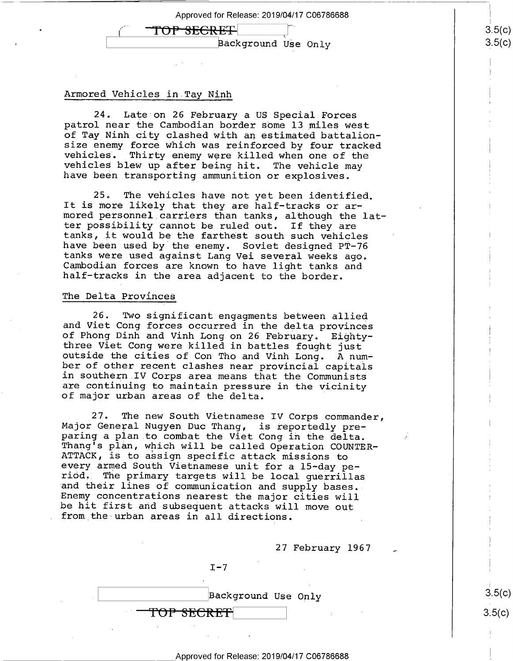F<del>OP SECRET</del>

\ Background Use Only

#### Armored Vehicles in Tay Ninh

24. Late on 26 February a US Special Forces patrol near the Cambodian border some l3\_miles west of Tay Ninh city clashed with an estimated battalionvehicles. Thirty enemy were killed when one of the vehicles blew up after being hit. The vehicle may have been transporting ammunition or explosives.

25. The vehicles have not yet been identified.<br>It is more likely that they are half-tracks or ar-<br>mored personnel carriers than tanks, although the lat-<br>ter possibility cannot be ruled out. If they are tanks, it would be the farthest south such vehicles<br>have been used by the enemy. Soviet designed PT-76<br>tanks were used against Lang Vei several weeks ago. Cambodian forces are known to have light tanks and half-tracks in the area adjacent to the border.

#### The Delta Provinces

26. Two significant engagments between allied and Viet Cong forces occurred in the delta provinces of Phong Dinh and Vinh Long on 26 February. Eighty-<br>three Viet Cong were killed in battles fought just outside the cities of Con Tho and Vinh Long. A num-<br>ber of other recent clashes near provincial capitals<br>in southern IV Corps area means that the Communists<br>are continuing to maintain pressure in the vicinity<br>of major urba

27. The new South Vietnamese IV Corps commander,<br>Major General Nugyen Duc Thang, is reportedly pre-<br>paring a plan to combat the Viet Cong in the delta.<br>Thang's plan, which will be called Operation COUNTER-<br>ATTACK, is to as and their lines of communication and supply bases.<br>Enemy concentrations nearest the major cities will<br>be hit first and subsequent attacks will move out<br>from the urban areas in all directions.

27 February 1967

 $I - 7$ 

T<del>OP SECRET</del>

 $\vert$ Background Use Only  $\vert$  3.5(c)

Approved for Release: 2019/04/17 C06786688

 $3.5(c)$ 

 $3.5(c)$  $.5(c)$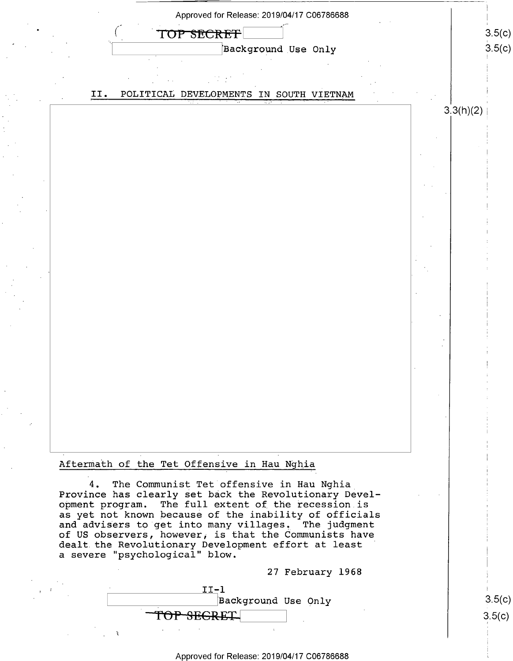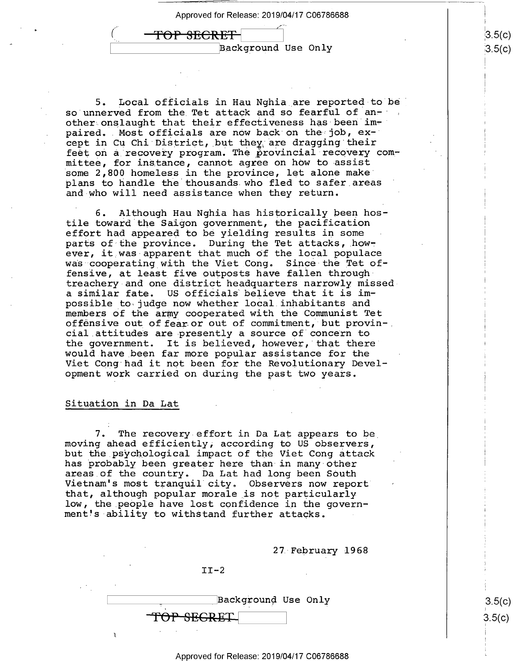<del>FOP SECRET</del>  $\frac{1}{\sqrt{2}}$ \ Background Use Only

5. Local officials in Hau Nghia are reported-to be so unnerved from the Tet attack and so fearful of another onslaught that their effectiveness has been  $im$ paired. Most officials are now back on the job, except in Cu Chi District,\_but they;are dragging their feet on a recovery program. The provincial recovery committee, for instance, cannot agree on how to assist some 2,800 homeless in the province, let alone make plans to handle the thousands who fled to safer areas ' and who will need assistance when they return.

6. Although Hau Nghia has historically been hostile toward the Saigon government, the pacification effort had appeared to be yielding results in some parts of the province. During the Tet attacks, however, it was apparent that much of the local populace was cooperating with the Viet Cong. Since the Tet offensive, at least five outposts have fallen throughtreachery-and one district headquarters narrowly misseda similar fate. US officials believe that it is impossible to\judge now whether local.inhabitants and members of the army cooperated with the Communist Tet offensive out of fear or out of commitment, but provin-, cial attitudes are presently a source of concern to the government. It is believed, however, that there' would have been far more popular assistance for the Viet Cong had it not been for the Revolutionary Development work carried on during the past two years.

#### Situation in Da Lat

7. The recovery effort in Da Lat appears to be moving ahead efficiently, according to US observers, but the psychological impact of the Viet Cong attack<br>has probably been greater here than in many other hare as of the country. Da Lat had long been South Vietnam's most tranquil city. Observers now report that, although popular morale is not particularly low, the people have lost confidence in the government's ability to withstand further attacks.

27 February 1968

Background Use Only T<del>OP SEGRET</del>

 $II-2$ 

Approved for Release: 2019/04/17 C06786688

 $3.5(c)$ ၁(C)

I 1\

 $5(c)$  $3.5(c)$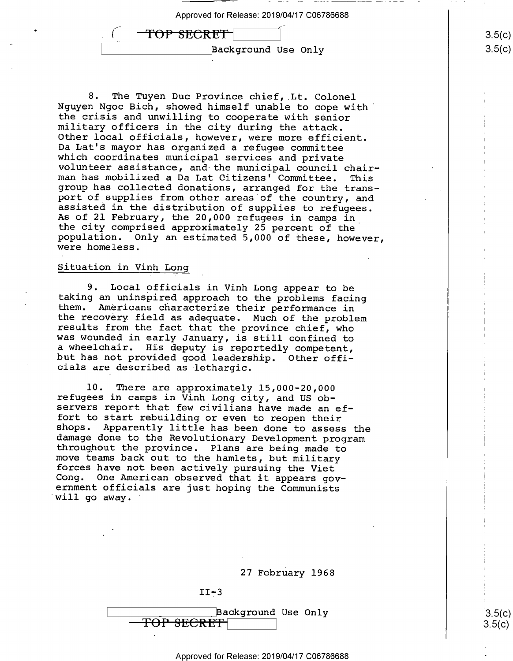| Approved for Release: 2019/04/17 C06786688 |
|--------------------------------------------|
| <del>TOP SECRET</del>                      |
| Background Use Only                        |

8. The Tuyen Duc Province chief, Lt. Colonel<br>Nguyen Ngoc Bich, showed himself unable to cope with<br>the crisis and unwilling to cooperate with senior the crisis and unwilling to cooperate with senior<br>military officers in the city during the attack.<br>Other local officials, however, were more efficient.<br>Da Lat's mayor has organized a refugee committee<br>which coordinates mun

#### §ituation in Vinh Long

9. Local officials in Vinh Long appear to be<br>taking an uninspired approach to the problems facing<br>them. Americans characterize their performance in<br>the recovery field as adequate. Much of the problem<br>results from the fact <sup>a</sup>wheelchair. His deputy is reportedly competent, but has not provided good leadership. Other offi- cials are described as lethargic.

10. There are approximately 15,000-20,000 refugees in camps in Vinh Long city, and US observers report that few civilians have made an ef-<br>fort to start rebuilding or even to reopen their shops. Apparently little has been done to assess the<br>damage done to the Revolutionary Development program<br>throughout the province. Plans are being made to<br>move teams back out to the hamlets, but military<br>forces have not be

II-3

\ \_ Use Only

#### Approved for Release: 2019/04/17 C06786688

 $3.5(c)$  $3.5(c)$ 

I I1

i |

ii

 $|3.5(c)|$  $3.5(c)$